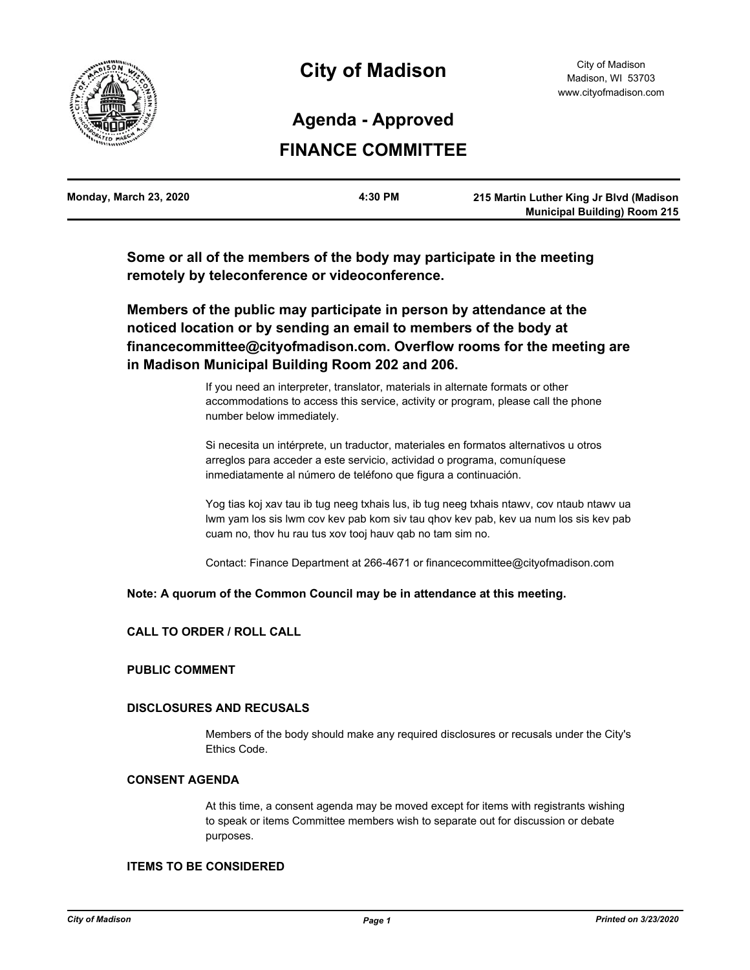

# **City of Madison**

## **Agenda - Approved**

## **FINANCE COMMITTEE**

| Monday, March 23, 2020 | 4:30 PM | 215 Martin Luther King Jr Blvd (Madison |
|------------------------|---------|-----------------------------------------|
|                        |         | <b>Municipal Building) Room 215</b>     |

**Some or all of the members of the body may participate in the meeting remotely by teleconference or videoconference.**

**Members of the public may participate in person by attendance at the noticed location or by sending an email to members of the body at financecommittee@cityofmadison.com. Overflow rooms for the meeting are in Madison Municipal Building Room 202 and 206.**

> If you need an interpreter, translator, materials in alternate formats or other accommodations to access this service, activity or program, please call the phone number below immediately.

> Si necesita un intérprete, un traductor, materiales en formatos alternativos u otros arreglos para acceder a este servicio, actividad o programa, comuníquese inmediatamente al número de teléfono que figura a continuación.

Yog tias koj xav tau ib tug neeg txhais lus, ib tug neeg txhais ntawv, cov ntaub ntawv ua lwm yam los sis lwm cov kev pab kom siv tau qhov kev pab, kev ua num los sis kev pab cuam no, thov hu rau tus xov tooj hauv qab no tam sim no.

Contact: Finance Department at 266-4671 or financecommittee@cityofmadison.com

#### **Note: A quorum of the Common Council may be in attendance at this meeting.**

#### **CALL TO ORDER / ROLL CALL**

#### **PUBLIC COMMENT**

#### **DISCLOSURES AND RECUSALS**

Members of the body should make any required disclosures or recusals under the City's Ethics Code.

#### **CONSENT AGENDA**

At this time, a consent agenda may be moved except for items with registrants wishing to speak or items Committee members wish to separate out for discussion or debate purposes.

#### **ITEMS TO BE CONSIDERED**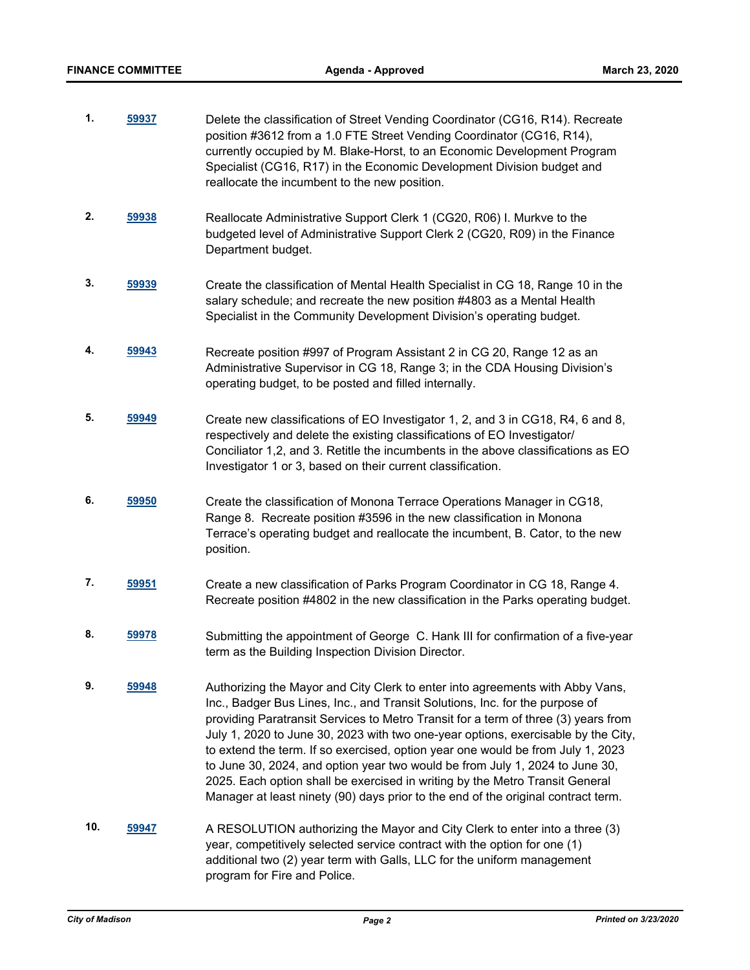| 1.  | 59937 | Delete the classification of Street Vending Coordinator (CG16, R14). Recreate<br>position #3612 from a 1.0 FTE Street Vending Coordinator (CG16, R14),<br>currently occupied by M. Blake-Horst, to an Economic Development Program<br>Specialist (CG16, R17) in the Economic Development Division budget and<br>reallocate the incumbent to the new position.                                                                                                                                                                                                                                                                                                                    |
|-----|-------|----------------------------------------------------------------------------------------------------------------------------------------------------------------------------------------------------------------------------------------------------------------------------------------------------------------------------------------------------------------------------------------------------------------------------------------------------------------------------------------------------------------------------------------------------------------------------------------------------------------------------------------------------------------------------------|
| 2.  | 59938 | Reallocate Administrative Support Clerk 1 (CG20, R06) I. Murkve to the<br>budgeted level of Administrative Support Clerk 2 (CG20, R09) in the Finance<br>Department budget.                                                                                                                                                                                                                                                                                                                                                                                                                                                                                                      |
| 3.  | 59939 | Create the classification of Mental Health Specialist in CG 18, Range 10 in the<br>salary schedule; and recreate the new position #4803 as a Mental Health<br>Specialist in the Community Development Division's operating budget.                                                                                                                                                                                                                                                                                                                                                                                                                                               |
| 4.  | 59943 | Recreate position #997 of Program Assistant 2 in CG 20, Range 12 as an<br>Administrative Supervisor in CG 18, Range 3; in the CDA Housing Division's<br>operating budget, to be posted and filled internally.                                                                                                                                                                                                                                                                                                                                                                                                                                                                    |
| 5.  | 59949 | Create new classifications of EO Investigator 1, 2, and 3 in CG18, R4, 6 and 8,<br>respectively and delete the existing classifications of EO Investigator/<br>Conciliator 1,2, and 3. Retitle the incumbents in the above classifications as EO<br>Investigator 1 or 3, based on their current classification.                                                                                                                                                                                                                                                                                                                                                                  |
| 6.  | 59950 | Create the classification of Monona Terrace Operations Manager in CG18,<br>Range 8. Recreate position #3596 in the new classification in Monona<br>Terrace's operating budget and reallocate the incumbent, B. Cator, to the new<br>position.                                                                                                                                                                                                                                                                                                                                                                                                                                    |
| 7.  | 59951 | Create a new classification of Parks Program Coordinator in CG 18, Range 4.<br>Recreate position #4802 in the new classification in the Parks operating budget.                                                                                                                                                                                                                                                                                                                                                                                                                                                                                                                  |
| 8.  | 59978 | Submitting the appointment of George C. Hank III for confirmation of a five-year<br>term as the Building Inspection Division Director.                                                                                                                                                                                                                                                                                                                                                                                                                                                                                                                                           |
| 9.  | 59948 | Authorizing the Mayor and City Clerk to enter into agreements with Abby Vans,<br>Inc., Badger Bus Lines, Inc., and Transit Solutions, Inc. for the purpose of<br>providing Paratransit Services to Metro Transit for a term of three (3) years from<br>July 1, 2020 to June 30, 2023 with two one-year options, exercisable by the City,<br>to extend the term. If so exercised, option year one would be from July 1, 2023<br>to June 30, 2024, and option year two would be from July 1, 2024 to June 30,<br>2025. Each option shall be exercised in writing by the Metro Transit General<br>Manager at least ninety (90) days prior to the end of the original contract term. |
| 10. | 59947 | A RESOLUTION authorizing the Mayor and City Clerk to enter into a three (3)<br>year, competitively selected service contract with the option for one (1)<br>additional two (2) year term with Galls, LLC for the uniform management<br>program for Fire and Police.                                                                                                                                                                                                                                                                                                                                                                                                              |